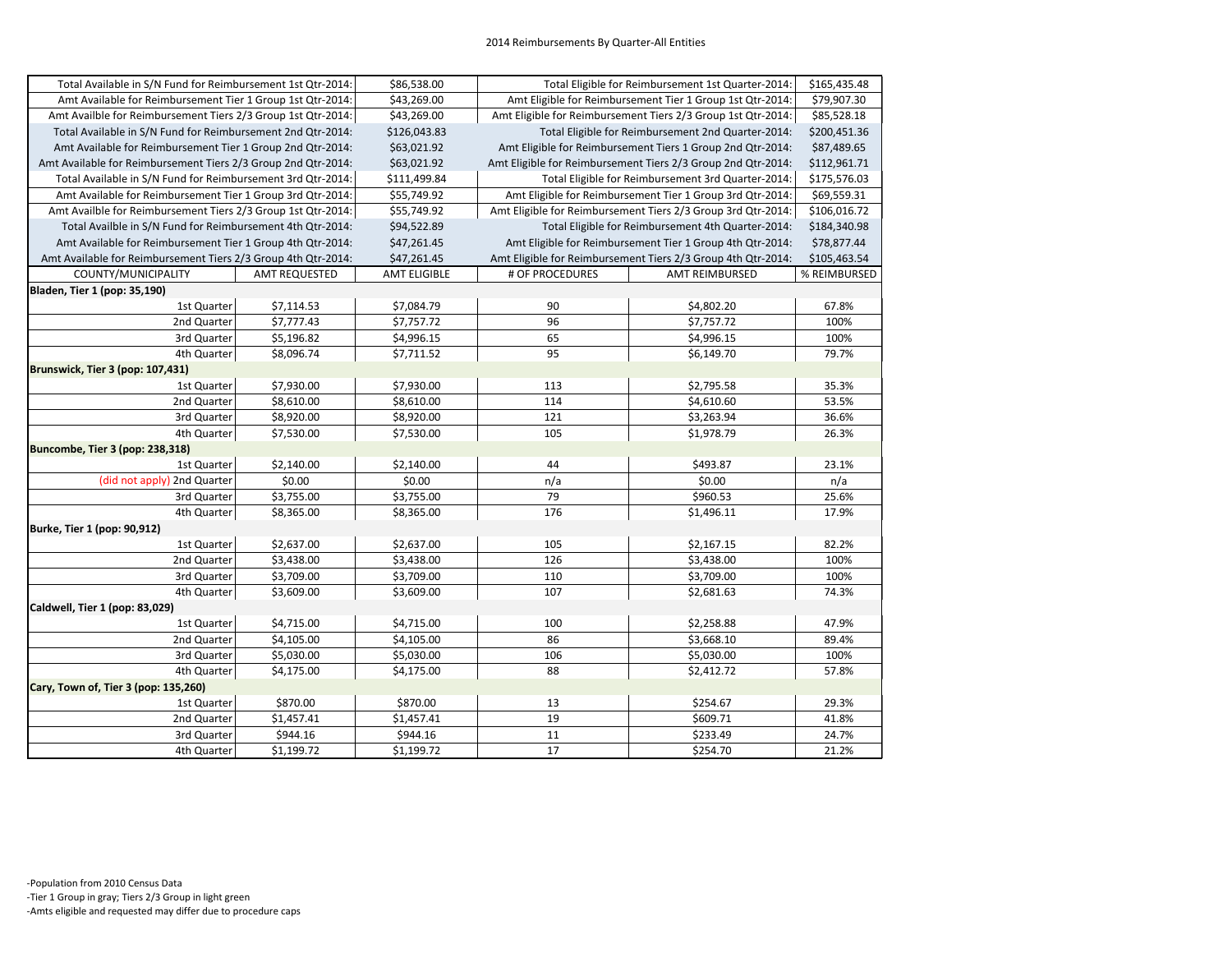| Total Available in S/N Fund for Reimbursement 1st Qtr-2014:   |                      | \$86,538.00         | Total Eligible for Reimbursement 1st Quarter-2014:           |                                                              | \$165,435.48 |
|---------------------------------------------------------------|----------------------|---------------------|--------------------------------------------------------------|--------------------------------------------------------------|--------------|
| Amt Available for Reimbursement Tier 1 Group 1st Qtr-2014:    |                      | \$43,269.00         | Amt Eligible for Reimbursement Tier 1 Group 1st Qtr-2014:    |                                                              | \$79,907.30  |
| Amt Availble for Reimbursement Tiers 2/3 Group 1st Qtr-2014:  |                      | \$43,269.00         | Amt Eligible for Reimbursement Tiers 2/3 Group 1st Qtr-2014: |                                                              | \$85,528.18  |
| Total Available in S/N Fund for Reimbursement 2nd Qtr-2014:   |                      | \$126,043.83        | Total Eligible for Reimbursement 2nd Quarter-2014:           |                                                              | \$200,451.36 |
| Amt Available for Reimbursement Tier 1 Group 2nd Qtr-2014:    |                      | \$63,021.92         | Amt Eligible for Reimbursement Tiers 1 Group 2nd Qtr-2014:   |                                                              | \$87,489.65  |
| Amt Available for Reimbursement Tiers 2/3 Group 2nd Qtr-2014: |                      | \$63,021.92         |                                                              | Amt Eligible for Reimbursement Tiers 2/3 Group 2nd Qtr-2014: | \$112,961.71 |
| Total Available in S/N Fund for Reimbursement 3rd Qtr-2014:   |                      | \$111,499.84        |                                                              | Total Eligible for Reimbursement 3rd Quarter-2014:           | \$175,576.03 |
| Amt Available for Reimbursement Tier 1 Group 3rd Qtr-2014:    |                      | \$55,749.92         |                                                              | Amt Eligible for Reimbursement Tier 1 Group 3rd Qtr-2014:    | \$69,559.31  |
| Amt Availble for Reimbursement Tiers 2/3 Group 1st Qtr-2014:  |                      | \$55,749.92         |                                                              | Amt Eligible for Reimbursement Tiers 2/3 Group 3rd Qtr-2014: | \$106,016.72 |
| Total Availble in S/N Fund for Reimbursement 4th Qtr-2014:    |                      | \$94,522.89         | Total Eligible for Reimbursement 4th Quarter-2014:           |                                                              | \$184,340.98 |
| Amt Available for Reimbursement Tier 1 Group 4th Qtr-2014:    |                      | \$47,261.45         | Amt Eligible for Reimbursement Tier 1 Group 4th Qtr-2014:    |                                                              | \$78,877.44  |
| Amt Available for Reimbursement Tiers 2/3 Group 4th Qtr-2014: |                      | \$47,261.45         | Amt Eligible for Reimbursement Tiers 2/3 Group 4th Qtr-2014: |                                                              | \$105,463.54 |
| COUNTY/MUNICIPALITY                                           | <b>AMT REQUESTED</b> | <b>AMT ELIGIBLE</b> | # OF PROCEDURES                                              | <b>AMT REIMBURSED</b>                                        | % REIMBURSED |
| Bladen, Tier 1 (pop: 35,190)                                  |                      |                     |                                                              |                                                              |              |
| 1st Quarter                                                   | \$7,114.53           | \$7,084.79          | 90                                                           | \$4,802.20                                                   | 67.8%        |
| 2nd Quarter                                                   | \$7,777.43           | \$7,757.72          | 96                                                           | \$7,757.72                                                   | 100%         |
| 3rd Quarter                                                   | \$5,196.82           | \$4,996.15          | 65                                                           | \$4,996.15                                                   | 100%         |
| 4th Quarter                                                   | \$8,096.74           | \$7,711.52          | 95                                                           | \$6,149.70                                                   | 79.7%        |
| Brunswick, Tier 3 (pop: 107,431)                              |                      |                     |                                                              |                                                              |              |
| 1st Quarter                                                   | \$7,930.00           | \$7,930.00          | 113                                                          | \$2,795.58                                                   | 35.3%        |
| 2nd Quarter                                                   | \$8,610.00           | \$8,610.00          | 114                                                          | \$4,610.60                                                   | 53.5%        |
| 3rd Quarter                                                   | \$8,920.00           | \$8,920.00          | 121                                                          | \$3,263.94                                                   | 36.6%        |
| 4th Quarter                                                   | \$7,530.00           | \$7,530.00          | 105                                                          | \$1,978.79                                                   | 26.3%        |
| Buncombe, Tier 3 (pop: 238,318)                               |                      |                     |                                                              |                                                              |              |
| 1st Quarter                                                   | \$2,140.00           | \$2,140.00          | 44                                                           | \$493.87                                                     | 23.1%        |
| (did not apply) 2nd Quarter                                   | \$0.00               | \$0.00              | n/a                                                          | \$0.00                                                       | n/a          |
| 3rd Quarter                                                   | \$3,755.00           | \$3,755.00          | 79                                                           | \$960.53                                                     | 25.6%        |
| 4th Quarter                                                   | \$8,365.00           | \$8,365.00          | 176                                                          | \$1,496.11                                                   | 17.9%        |
| Burke, Tier 1 (pop: 90,912)                                   |                      |                     |                                                              |                                                              |              |
| 1st Quarter                                                   | \$2,637.00           | \$2,637.00          | 105                                                          | \$2,167.15                                                   | 82.2%        |
| 2nd Quarter                                                   | \$3,438.00           | \$3,438.00          | 126                                                          | \$3,438.00                                                   | 100%         |
| 3rd Quarter                                                   | \$3,709.00           | \$3,709.00          | 110                                                          | \$3,709.00                                                   | 100%         |
| 4th Quarter                                                   | \$3,609.00           | \$3,609.00          | 107                                                          | \$2,681.63                                                   | 74.3%        |
| Caldwell, Tier 1 (pop: 83,029)                                |                      |                     |                                                              |                                                              |              |
| 1st Quarter                                                   | \$4,715.00           | \$4,715.00          | 100                                                          | \$2,258.88                                                   | 47.9%        |
| 2nd Quarter                                                   | \$4,105.00           | \$4,105.00          | 86                                                           | \$3,668.10                                                   | 89.4%        |
| 3rd Quarter                                                   | \$5,030.00           | \$5,030.00          | 106                                                          | \$5,030.00                                                   | 100%         |
| 4th Quarter                                                   | \$4,175.00           | \$4,175.00          | 88                                                           | \$2,412.72                                                   | 57.8%        |
| Cary, Town of, Tier 3 (pop: 135,260)                          |                      |                     |                                                              |                                                              |              |
| 1st Quarter                                                   | \$870.00             | \$870.00            | 13                                                           | \$254.67                                                     | 29.3%        |
| 2nd Quarter                                                   | \$1,457.41           | \$1,457.41          | 19                                                           | \$609.71                                                     | 41.8%        |
| 3rd Quarter                                                   | \$944.16             | \$944.16            | 11                                                           | \$233.49                                                     | 24.7%        |
| 4th Quarter                                                   | \$1,199.72           | \$1,199.72          | 17                                                           | \$254.70                                                     | 21.2%        |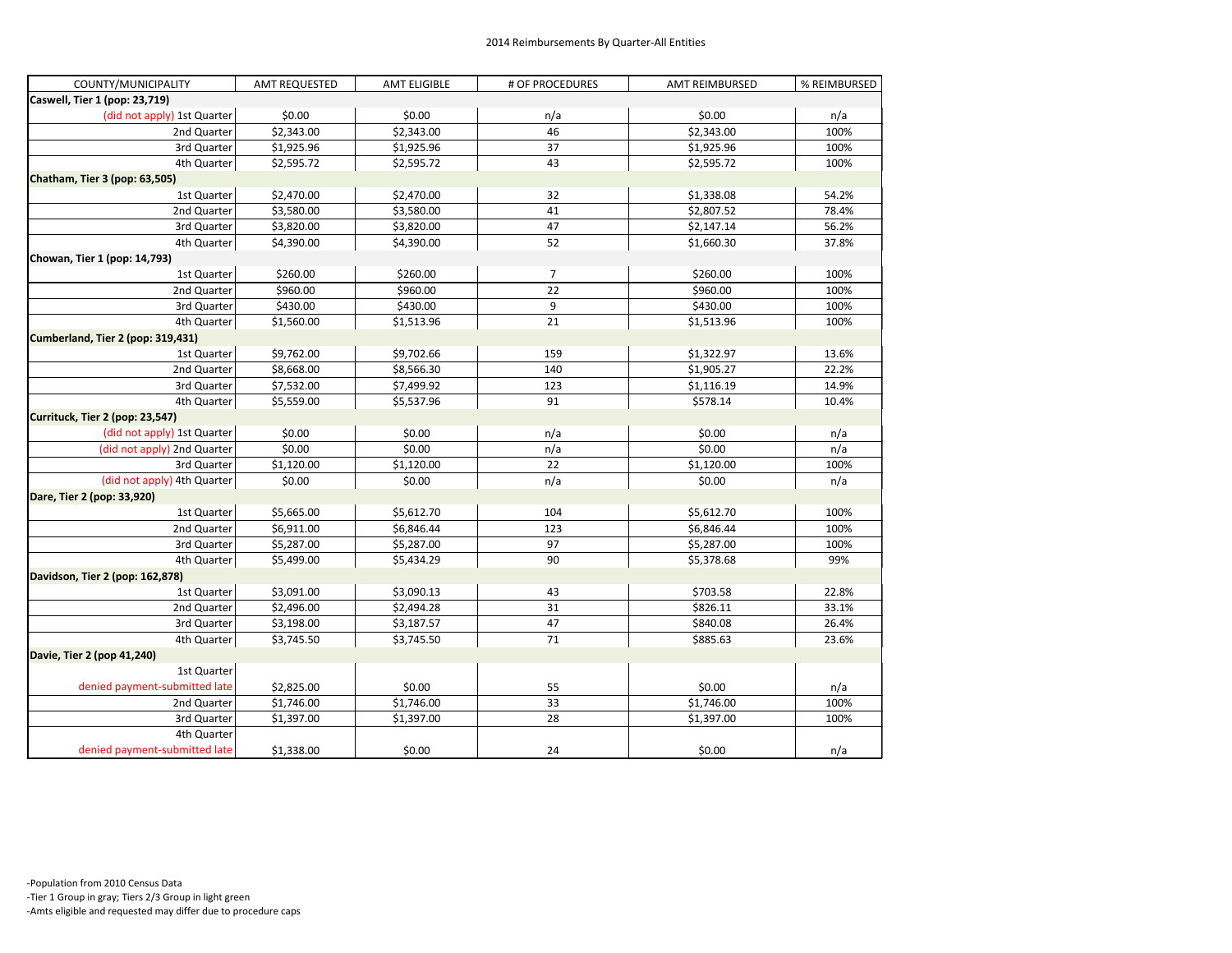| COUNTY/MUNICIPALITY               | <b>AMT REQUESTED</b> | <b>AMT ELIGIBLE</b> | # OF PROCEDURES | <b>AMT REIMBURSED</b> | % REIMBURSED |
|-----------------------------------|----------------------|---------------------|-----------------|-----------------------|--------------|
| Caswell, Tier 1 (pop: 23,719)     |                      |                     |                 |                       |              |
| (did not apply) 1st Quarter       | \$0.00               | \$0.00              | n/a             | \$0.00                | n/a          |
| 2nd Quarter                       | \$2,343.00           | \$2,343.00          | 46              | \$2,343.00            | 100%         |
| 3rd Quarter                       | \$1,925.96           | \$1,925.96          | 37              | \$1,925.96            | 100%         |
| 4th Quarter                       | \$2,595.72           | \$2,595.72          | 43              | \$2,595.72            | 100%         |
| Chatham, Tier 3 (pop: 63,505)     |                      |                     |                 |                       |              |
| 1st Quarter                       | \$2,470.00           | \$2,470.00          | 32              | \$1,338.08            | 54.2%        |
| 2nd Quarter                       | \$3,580.00           | \$3,580.00          | 41              | \$2,807.52            | 78.4%        |
| 3rd Quarter                       | \$3,820.00           | \$3,820.00          | 47              | \$2,147.14            | 56.2%        |
| 4th Quarter                       | \$4,390.00           | \$4,390.00          | 52              | \$1,660.30            | 37.8%        |
| Chowan, Tier 1 (pop: 14,793)      |                      |                     |                 |                       |              |
| 1st Quarter                       | \$260.00             | \$260.00            | 7               | \$260.00              | 100%         |
| 2nd Quarter                       | \$960.00             | \$960.00            | 22              | \$960.00              | 100%         |
| 3rd Quarter                       | \$430.00             | \$430.00            | 9               | \$430.00              | 100%         |
| 4th Quarter                       | \$1,560.00           | \$1,513.96          | 21              | \$1,513.96            | 100%         |
| Cumberland, Tier 2 (pop: 319,431) |                      |                     |                 |                       |              |
| 1st Quarter                       | \$9,762.00           | \$9,702.66          | 159             | \$1,322.97            | 13.6%        |
| 2nd Quarter                       | \$8,668.00           | \$8,566.30          | 140             | \$1,905.27            | 22.2%        |
| 3rd Quarter                       | \$7,532.00           | \$7,499.92          | 123             | \$1,116.19            | 14.9%        |
| 4th Quarter                       | \$5,559.00           | \$5,537.96          | 91              | \$578.14              | 10.4%        |
| Currituck, Tier 2 (pop: 23,547)   |                      |                     |                 |                       |              |
| (did not apply) 1st Quarter       | \$0.00               | \$0.00              | n/a             | \$0.00                | n/a          |
| (did not apply) 2nd Quarter       | \$0.00               | \$0.00              | n/a             | \$0.00                | n/a          |
| 3rd Quarter                       | \$1,120.00           | \$1,120.00          | 22              | \$1,120.00            | 100%         |
| (did not apply) 4th Quarter       | \$0.00               | \$0.00              | n/a             | \$0.00                | n/a          |
| Dare, Tier 2 (pop: 33,920)        |                      |                     |                 |                       |              |
| 1st Quarter                       | \$5,665.00           | \$5,612.70          | 104             | \$5,612.70            | 100%         |
| 2nd Quarter                       | \$6,911.00           | \$6,846.44          | 123             | \$6,846.44            | 100%         |
| 3rd Quarter                       | \$5,287.00           | \$5,287.00          | 97              | \$5,287.00            | 100%         |
| 4th Quarter                       | \$5,499.00           | \$5,434.29          | 90              | \$5,378.68            | 99%          |
| Davidson, Tier 2 (pop: 162,878)   |                      |                     |                 |                       |              |
| 1st Quarter                       | \$3,091.00           | \$3,090.13          | 43              | \$703.58              | 22.8%        |
| 2nd Quarter                       | \$2,496.00           | \$2,494.28          | 31              | \$826.11              | 33.1%        |
| 3rd Quarter                       | \$3,198.00           | \$3,187.57          | 47              | \$840.08              | 26.4%        |
| 4th Quarter                       | \$3,745.50           | \$3,745.50          | 71              | \$885.63              | 23.6%        |
| Davie, Tier 2 (pop 41,240)        |                      |                     |                 |                       |              |
| 1st Quarter                       |                      |                     |                 |                       |              |
| denied payment-submitted late     | \$2,825.00           | \$0.00              | 55              | \$0.00                | n/a          |
| 2nd Quarter                       | \$1,746.00           | \$1,746.00          | 33              | \$1,746.00            | 100%         |
| 3rd Quarter                       | \$1,397.00           | \$1,397.00          | 28              | \$1,397.00            | 100%         |
| 4th Quarter                       |                      |                     |                 |                       |              |
| denied payment-submitted late     | \$1,338.00           | \$0.00              | 24              | \$0.00                | n/a          |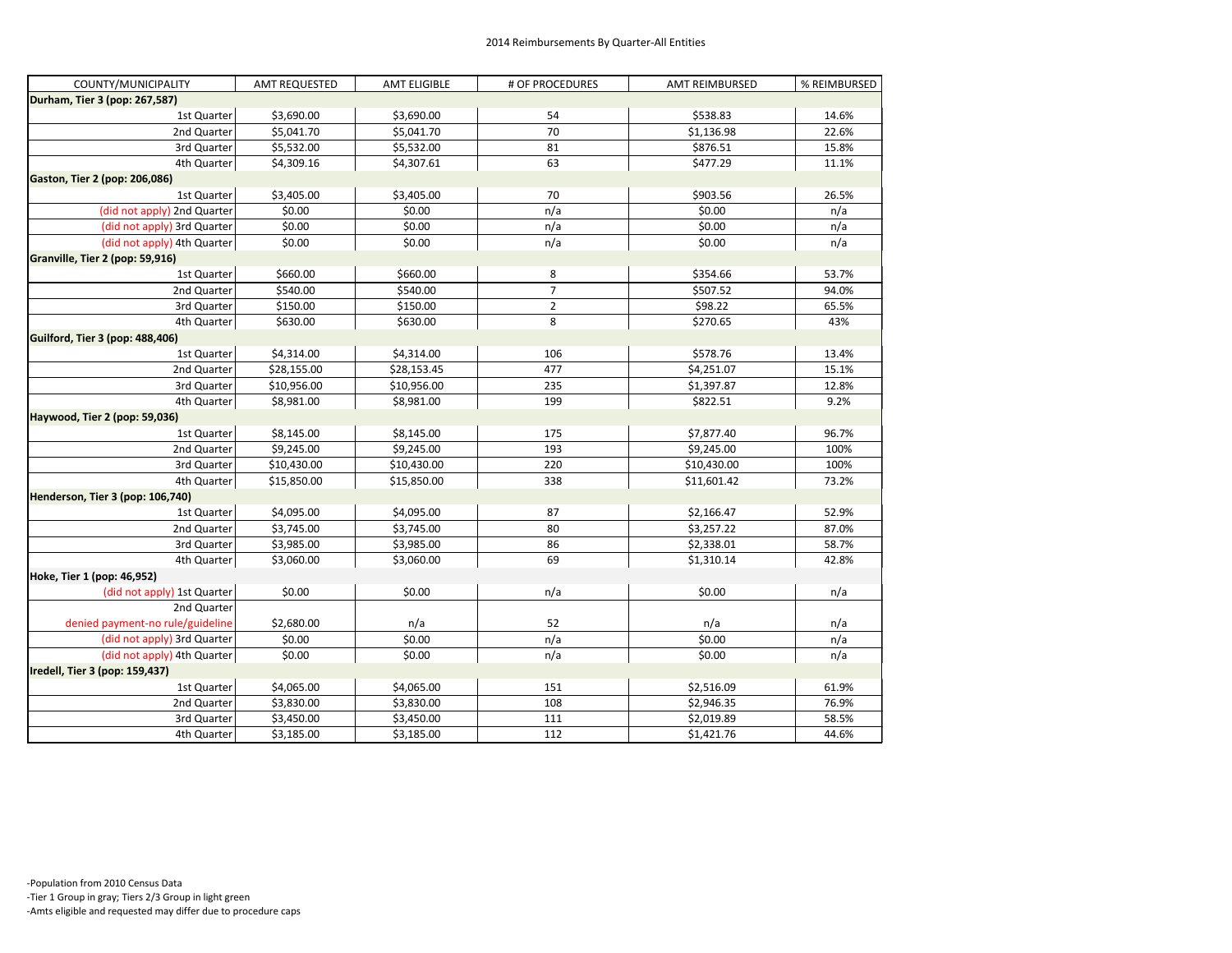| COUNTY/MUNICIPALITY                    | <b>AMT REQUESTED</b> | <b>AMT ELIGIBLE</b> | # OF PROCEDURES | <b>AMT REIMBURSED</b> | % REIMBURSED |
|----------------------------------------|----------------------|---------------------|-----------------|-----------------------|--------------|
| Durham, Tier 3 (pop: 267,587)          |                      |                     |                 |                       |              |
| 1st Quarter                            | \$3,690.00           | \$3,690.00          | 54              | \$538.83              | 14.6%        |
| 2nd Quarter                            | \$5,041.70           | \$5,041.70          | 70              | \$1,136.98            | 22.6%        |
| 3rd Quarter                            | \$5,532.00           | \$5,532.00          | 81              | \$876.51              | 15.8%        |
| 4th Quarter                            | \$4,309.16           | \$4,307.61          | 63              | \$477.29              | 11.1%        |
| Gaston, Tier 2 (pop: 206,086)          |                      |                     |                 |                       |              |
| 1st Quarter                            | \$3,405.00           | \$3,405.00          | 70              | \$903.56              | 26.5%        |
| (did not apply) 2nd Quarter            | \$0.00               | \$0.00              | n/a             | \$0.00                | n/a          |
| (did not apply) 3rd Quarter            | \$0.00               | \$0.00              | n/a             | \$0.00                | n/a          |
| (did not apply) 4th Quarter            | \$0.00               | \$0.00              | n/a             | \$0.00                | n/a          |
| Granville, Tier 2 (pop: 59,916)        |                      |                     |                 |                       |              |
| 1st Quarter                            | \$660.00             | \$660.00            | 8               | \$354.66              | 53.7%        |
| 2nd Quarter                            | \$540.00             | \$540.00            | $\overline{7}$  | \$507.52              | 94.0%        |
| 3rd Quarter                            | \$150.00             | \$150.00            | $\mathbf 2$     | \$98.22               | 65.5%        |
| 4th Quarter                            | \$630.00             | \$630.00            | 8               | \$270.65              | 43%          |
| <b>Guilford, Tier 3 (pop: 488,406)</b> |                      |                     |                 |                       |              |
| 1st Quarter                            | \$4,314.00           | \$4,314.00          | 106             | \$578.76              | 13.4%        |
| 2nd Quarter                            | \$28,155.00          | \$28,153.45         | 477             | \$4,251.07            | 15.1%        |
| 3rd Quarter                            | \$10,956.00          | \$10,956.00         | 235             | \$1,397.87            | 12.8%        |
| 4th Quarter                            | \$8,981.00           | \$8,981.00          | 199             | \$822.51              | 9.2%         |
| Haywood, Tier 2 (pop: 59,036)          |                      |                     |                 |                       |              |
| 1st Quarter                            | \$8,145.00           | \$8,145.00          | 175             | \$7,877.40            | 96.7%        |
| 2nd Quarter                            | \$9,245.00           | \$9,245.00          | 193             | \$9,245.00            | 100%         |
| 3rd Quarter                            | \$10,430.00          | \$10,430.00         | 220             | \$10,430.00           | 100%         |
| 4th Quarter                            | \$15,850.00          | \$15,850.00         | 338             | \$11,601.42           | 73.2%        |
| Henderson, Tier 3 (pop: 106,740)       |                      |                     |                 |                       |              |
| 1st Quarter                            | \$4,095.00           | \$4,095.00          | 87              | \$2,166.47            | 52.9%        |
| 2nd Quarter                            | \$3,745.00           | \$3,745.00          | 80              | \$3,257.22            | 87.0%        |
| 3rd Quarter                            | \$3,985.00           | \$3,985.00          | 86              | \$2,338.01            | 58.7%        |
| 4th Quarter                            | \$3,060.00           | \$3,060.00          | 69              | \$1,310.14            | 42.8%        |
| Hoke, Tier 1 (pop: 46,952)             |                      |                     |                 |                       |              |
| (did not apply) 1st Quarter            | \$0.00               | \$0.00              | n/a             | \$0.00                | n/a          |
| 2nd Quarter                            |                      |                     |                 |                       |              |
| denied payment-no rule/guideline       | \$2,680.00           | n/a                 | 52              | n/a                   | n/a          |
| (did not apply) 3rd Quarter            | \$0.00               | \$0.00              | n/a             | \$0.00                | n/a          |
| (did not apply) 4th Quarter            | \$0.00               | \$0.00              | n/a             | \$0.00                | n/a          |
| Iredell, Tier 3 (pop: 159,437)         |                      |                     |                 |                       |              |
| 1st Quarter                            | \$4,065.00           | \$4,065.00          | 151             | \$2,516.09            | 61.9%        |
| 2nd Quarter                            | \$3,830.00           | \$3,830.00          | 108             | \$2,946.35            | 76.9%        |
| 3rd Quarter                            | \$3,450.00           | \$3,450.00          | 111             | \$2,019.89            | 58.5%        |
| 4th Quarter                            | \$3,185.00           | \$3,185.00          | 112             | \$1,421.76            | 44.6%        |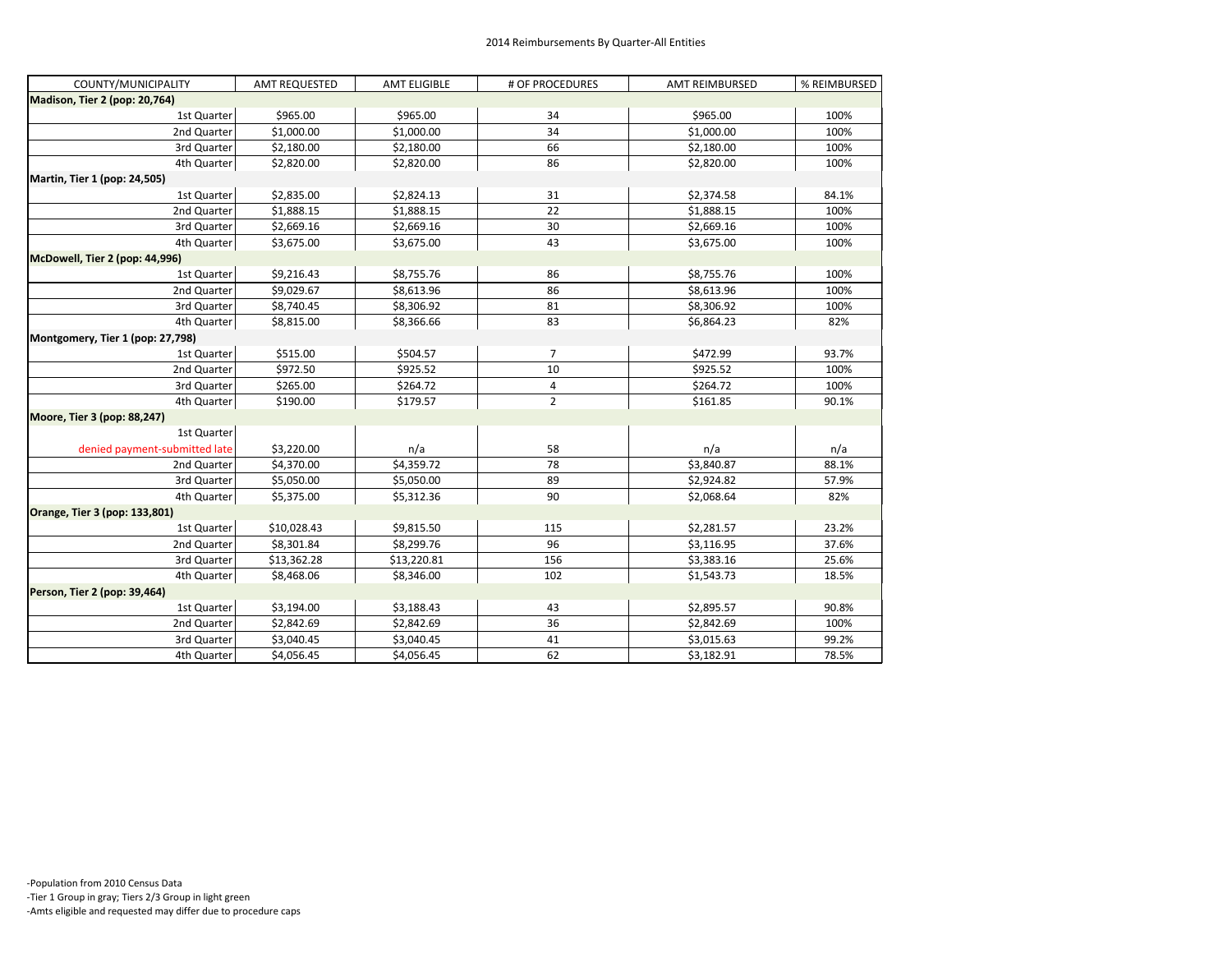| COUNTY/MUNICIPALITY              | <b>AMT REQUESTED</b> | <b>AMT ELIGIBLE</b> | # OF PROCEDURES | <b>AMT REIMBURSED</b> | % REIMBURSED |
|----------------------------------|----------------------|---------------------|-----------------|-----------------------|--------------|
| Madison, Tier 2 (pop: 20,764)    |                      |                     |                 |                       |              |
| 1st Quarter                      | \$965.00             | \$965.00            | 34              | \$965.00              | 100%         |
| 2nd Quarter                      | \$1,000.00           | \$1,000.00          | 34              | \$1,000.00            | 100%         |
| 3rd Quarter                      | \$2,180.00           | \$2,180.00          | 66              | \$2,180.00            | 100%         |
| 4th Quarter                      | \$2,820.00           | \$2,820.00          | 86              | \$2,820.00            | 100%         |
| Martin, Tier 1 (pop: 24,505)     |                      |                     |                 |                       |              |
| 1st Quarter                      | \$2,835.00           | \$2,824.13          | 31              | \$2,374.58            | 84.1%        |
| 2nd Quarter                      | \$1,888.15           | \$1,888.15          | 22              | \$1,888.15            | 100%         |
| 3rd Quarter                      | \$2,669.16           | \$2,669.16          | 30              | \$2,669.16            | 100%         |
| 4th Quarter                      | \$3,675.00           | \$3,675.00          | 43              | \$3,675.00            | 100%         |
| McDowell, Tier 2 (pop: 44,996)   |                      |                     |                 |                       |              |
| 1st Quarter                      | \$9,216.43           | \$8,755.76          | 86              | \$8,755.76            | 100%         |
| 2nd Quarter                      | \$9,029.67           | \$8,613.96          | 86              | \$8,613.96            | 100%         |
| 3rd Quarter                      | \$8,740.45           | \$8,306.92          | 81              | \$8,306.92            | 100%         |
| 4th Quarter                      | \$8,815.00           | \$8,366.66          | 83              | \$6,864.23            | 82%          |
| Montgomery, Tier 1 (pop: 27,798) |                      |                     |                 |                       |              |
| 1st Quarter                      | \$515.00             | \$504.57            | 7               | \$472.99              | 93.7%        |
| 2nd Quarter                      | \$972.50             | \$925.52            | 10              | \$925.52              | 100%         |
| 3rd Quarter                      | \$265.00             | \$264.72            | 4               | \$264.72              | 100%         |
| 4th Quarter                      | \$190.00             | \$179.57            | $\overline{2}$  | \$161.85              | 90.1%        |
| Moore, Tier 3 (pop: 88,247)      |                      |                     |                 |                       |              |
| 1st Quarter                      |                      |                     |                 |                       |              |
| denied payment-submitted late    | \$3,220.00           | n/a                 | 58              | n/a                   | n/a          |
| 2nd Quarter                      | \$4,370.00           | \$4,359.72          | 78              | \$3,840.87            | 88.1%        |
| 3rd Quarter                      | \$5,050.00           | \$5,050.00          | 89              | \$2,924.82            | 57.9%        |
| 4th Quarter                      | \$5,375.00           | \$5,312.36          | 90              | \$2,068.64            | 82%          |
| Orange, Tier 3 (pop: 133,801)    |                      |                     |                 |                       |              |
| 1st Quarter                      | \$10,028.43          | \$9,815.50          | 115             | \$2,281.57            | 23.2%        |
| 2nd Quarter                      | \$8,301.84           | \$8,299.76          | 96              | \$3,116.95            | 37.6%        |
| 3rd Quarter                      | \$13,362.28          | \$13,220.81         | 156             | \$3,383.16            | 25.6%        |
| 4th Quarter                      | \$8,468.06           | \$8,346.00          | 102             | \$1,543.73            | 18.5%        |
| Person, Tier 2 (pop: 39,464)     |                      |                     |                 |                       |              |
| 1st Quarter                      | \$3,194.00           | \$3,188.43          | 43              | \$2,895.57            | 90.8%        |
| 2nd Quarter                      | \$2,842.69           | \$2,842.69          | 36              | \$2,842.69            | 100%         |
| 3rd Quarter                      | \$3,040.45           | \$3,040.45          | 41              | \$3,015.63            | 99.2%        |
| 4th Quarter                      | \$4,056.45           | \$4,056.45          | 62              | \$3,182.91            | 78.5%        |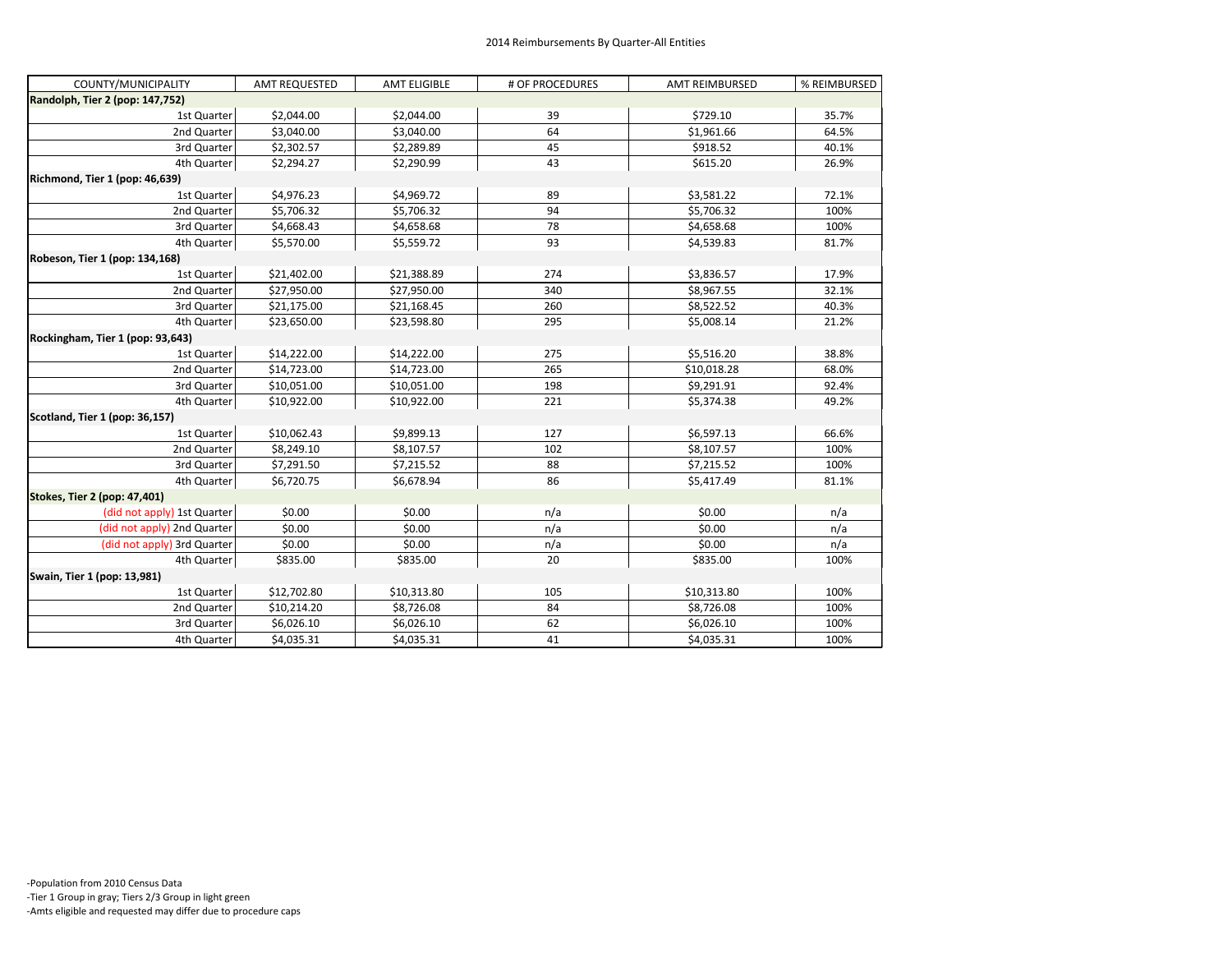| COUNTY/MUNICIPALITY              | <b>AMT REQUESTED</b> | <b>AMT ELIGIBLE</b> | # OF PROCEDURES | <b>AMT REIMBURSED</b> | % REIMBURSED |
|----------------------------------|----------------------|---------------------|-----------------|-----------------------|--------------|
| Randolph, Tier 2 (pop: 147,752)  |                      |                     |                 |                       |              |
| 1st Quarter                      | \$2,044.00           | \$2,044.00          | 39              | \$729.10              | 35.7%        |
| 2nd Quarter                      | \$3,040.00           | \$3,040.00          | 64              | \$1,961.66            | 64.5%        |
| 3rd Quarter                      | \$2,302.57           | \$2,289.89          | 45              | \$918.52              | 40.1%        |
| 4th Quarter                      | \$2,294.27           | \$2,290.99          | 43              | \$615.20              | 26.9%        |
| Richmond, Tier 1 (pop: 46,639)   |                      |                     |                 |                       |              |
| 1st Quarter                      | \$4,976.23           | \$4,969.72          | 89              | \$3,581.22            | 72.1%        |
| 2nd Quarter                      | \$5,706.32           | \$5,706.32          | 94              | \$5,706.32            | 100%         |
| 3rd Quarter                      | \$4,668.43           | \$4,658.68          | 78              | \$4,658.68            | 100%         |
| 4th Quarter                      | \$5,570.00           | \$5,559.72          | 93              | \$4,539.83            | 81.7%        |
| Robeson, Tier 1 (pop: 134,168)   |                      |                     |                 |                       |              |
| 1st Quarter                      | \$21,402.00          | \$21,388.89         | 274             | \$3,836.57            | 17.9%        |
| 2nd Quarter                      | \$27,950.00          | \$27,950.00         | 340             | \$8,967.55            | 32.1%        |
| 3rd Quarter                      | \$21,175.00          | \$21,168.45         | 260             | \$8,522.52            | 40.3%        |
| 4th Quarter                      | \$23,650.00          | \$23,598.80         | 295             | \$5,008.14            | 21.2%        |
| Rockingham, Tier 1 (pop: 93,643) |                      |                     |                 |                       |              |
| 1st Quarter                      | \$14,222.00          | \$14,222.00         | 275             | \$5,516.20            | 38.8%        |
| 2nd Quarter                      | \$14,723.00          | \$14,723.00         | 265             | \$10,018.28           | 68.0%        |
| 3rd Quarter                      | \$10,051.00          | \$10,051.00         | 198             | \$9,291.91            | 92.4%        |
| 4th Quarter                      | \$10,922.00          | \$10,922.00         | 221             | \$5,374.38            | 49.2%        |
| Scotland, Tier 1 (pop: 36,157)   |                      |                     |                 |                       |              |
| 1st Quarter                      | \$10,062.43          | \$9,899.13          | 127             | \$6,597.13            | 66.6%        |
| 2nd Quarter                      | \$8,249.10           | \$8,107.57          | 102             | \$8,107.57            | 100%         |
| 3rd Quarter                      | \$7,291.50           | \$7,215.52          | 88              | \$7,215.52            | 100%         |
| 4th Quarter                      | \$6,720.75           | \$6,678.94          | 86              | \$5,417.49            | 81.1%        |
| Stokes, Tier 2 (pop: 47,401)     |                      |                     |                 |                       |              |
| (did not apply) 1st Quarter      | \$0.00               | \$0.00              | n/a             | \$0.00                | n/a          |
| (did not apply) 2nd Quarter      | \$0.00               | \$0.00              | n/a             | \$0.00                | n/a          |
| (did not apply) 3rd Quarter      | \$0.00               | \$0.00              | n/a             | \$0.00                | n/a          |
| 4th Quarter                      | \$835.00             | \$835.00            | 20              | \$835.00              | 100%         |
| Swain, Tier 1 (pop: 13,981)      |                      |                     |                 |                       |              |
| 1st Quarter                      | \$12,702.80          | \$10,313.80         | 105             | \$10,313.80           | 100%         |
| 2nd Quarter                      | \$10,214.20          | \$8,726.08          | 84              | \$8,726.08            | 100%         |
| 3rd Quarter                      | \$6,026.10           | \$6,026.10          | 62              | \$6,026.10            | 100%         |
| 4th Quarter                      | \$4,035.31           | \$4,035.31          | 41              | \$4,035.31            | 100%         |